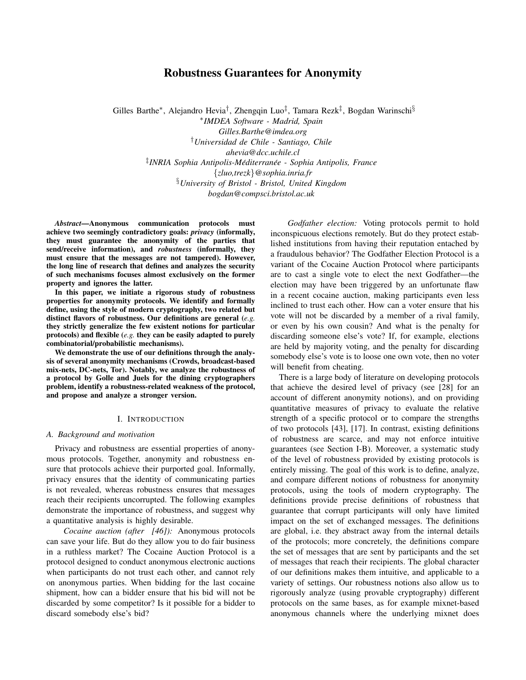## Robustness Guarantees for Anonymity

Gilles Barthe<sup>\*</sup>, Alejandro Hevia<sup>†</sup>, Zhengqin Luo<sup>‡</sup>, Tamara Rezk<sup>‡</sup>, Bogdan Warinschi<sup>§</sup>

∗ *IMDEA Software - Madrid, Spain Gilles.Barthe@imdea.org* †*Universidad de Chile - Santiago, Chile ahevia@dcc.uchile.cl* <sup>‡</sup> INRIA Sophia Antipolis-Méditerranée - Sophia Antipolis, France {*zluo,trezk*}*@sophia.inria.fr* §*University of Bristol - Bristol, United Kingdom bogdan@compsci.bristol.ac.uk*

*Abstract*—Anonymous communication protocols must achieve two seemingly contradictory goals: *privacy* (informally, they must guarantee the anonymity of the parties that send/receive information), and *robustness* (informally, they must ensure that the messages are not tampered). However, the long line of research that defines and analyzes the security of such mechanisms focuses almost exclusively on the former property and ignores the latter.

In this paper, we initiate a rigorous study of robustness properties for anonymity protocols. We identify and formally define, using the style of modern cryptography, two related but distinct flavors of robustness. Our definitions are general (*e.g.* they strictly generalize the few existent notions for particular protocols) and flexible (*e.g.* they can be easily adapted to purely combinatorial/probabilistic mechanisms).

We demonstrate the use of our definitions through the analysis of several anonymity mechanisms (Crowds, broadcast-based mix-nets, DC-nets, Tor). Notably, we analyze the robustness of a protocol by Golle and Juels for the dining cryptographers problem, identify a robustness-related weakness of the protocol, and propose and analyze a stronger version.

#### I. INTRODUCTION

#### *A. Background and motivation*

Privacy and robustness are essential properties of anonymous protocols. Together, anonymity and robustness ensure that protocols achieve their purported goal. Informally, privacy ensures that the identity of communicating parties is not revealed, whereas robustness ensures that messages reach their recipients uncorrupted. The following examples demonstrate the importance of robustness, and suggest why a quantitative analysis is highly desirable.

*Cocaine auction (after [46]):* Anonymous protocols can save your life. But do they allow you to do fair business in a ruthless market? The Cocaine Auction Protocol is a protocol designed to conduct anonymous electronic auctions when participants do not trust each other, and cannot rely on anonymous parties. When bidding for the last cocaine shipment, how can a bidder ensure that his bid will not be discarded by some competitor? Is it possible for a bidder to discard somebody else's bid?

*Godfather election:* Voting protocols permit to hold inconspicuous elections remotely. But do they protect established institutions from having their reputation entached by a fraudulous behavior? The Godfather Election Protocol is a variant of the Cocaine Auction Protocol where participants are to cast a single vote to elect the next Godfather—the election may have been triggered by an unfortunate flaw in a recent cocaine auction, making participants even less inclined to trust each other. How can a voter ensure that his vote will not be discarded by a member of a rival family, or even by his own cousin? And what is the penalty for discarding someone else's vote? If, for example, elections are held by majority voting, and the penalty for discarding somebody else's vote is to loose one own vote, then no voter will benefit from cheating.

There is a large body of literature on developing protocols that achieve the desired level of privacy (see [28] for an account of different anonymity notions), and on providing quantitative measures of privacy to evaluate the relative strength of a specific protocol or to compare the strengths of two protocols [43], [17]. In contrast, existing definitions of robustness are scarce, and may not enforce intuitive guarantees (see Section I-B). Moreover, a systematic study of the level of robustness provided by existing protocols is entirely missing. The goal of this work is to define, analyze, and compare different notions of robustness for anonymity protocols, using the tools of modern cryptography. The definitions provide precise definitions of robustness that guarantee that corrupt participants will only have limited impact on the set of exchanged messages. The definitions are global, i.e. they abstract away from the internal details of the protocols; more concretely, the definitions compare the set of messages that are sent by participants and the set of messages that reach their recipients. The global character of our definitions makes them intuitive, and applicable to a variety of settings. Our robustness notions also allow us to rigorously analyze (using provable cryptography) different protocols on the same bases, as for example mixnet-based anonymous channels where the underlying mixnet does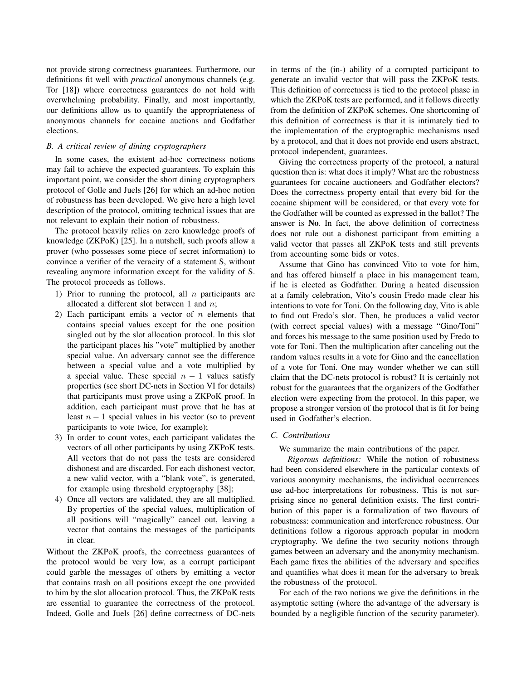not provide strong correctness guarantees. Furthermore, our definitions fit well with *practical* anonymous channels (e.g. Tor [18]) where correctness guarantees do not hold with overwhelming probability. Finally, and most importantly, our definitions allow us to quantify the appropriateness of anonymous channels for cocaine auctions and Godfather elections.

## *B. A critical review of dining cryptographers*

In some cases, the existent ad-hoc correctness notions may fail to achieve the expected guarantees. To explain this important point, we consider the short dining cryptographers protocol of Golle and Juels [26] for which an ad-hoc notion of robustness has been developed. We give here a high level description of the protocol, omitting technical issues that are not relevant to explain their notion of robustness.

The protocol heavily relies on zero knowledge proofs of knowledge (ZKPoK) [25]. In a nutshell, such proofs allow a prover (who possesses some piece of secret information) to convince a verifier of the veracity of a statement S, without revealing anymore information except for the validity of S. The protocol proceeds as follows.

- 1) Prior to running the protocol, all  $n$  participants are allocated a different slot between 1 and  $n$ ;
- 2) Each participant emits a vector of  $n$  elements that contains special values except for the one position singled out by the slot allocation protocol. In this slot the participant places his "vote" multiplied by another special value. An adversary cannot see the difference between a special value and a vote multiplied by a special value. These special  $n - 1$  values satisfy properties (see short DC-nets in Section VI for details) that participants must prove using a ZKPoK proof. In addition, each participant must prove that he has at least  $n - 1$  special values in his vector (so to prevent participants to vote twice, for example);
- 3) In order to count votes, each participant validates the vectors of all other participants by using ZKPoK tests. All vectors that do not pass the tests are considered dishonest and are discarded. For each dishonest vector, a new valid vector, with a "blank vote", is generated, for example using threshold cryptography [38];
- 4) Once all vectors are validated, they are all multiplied. By properties of the special values, multiplication of all positions will "magically" cancel out, leaving a vector that contains the messages of the participants in clear.

Without the ZKPoK proofs, the correctness guarantees of the protocol would be very low, as a corrupt participant could garble the messages of others by emitting a vector that contains trash on all positions except the one provided to him by the slot allocation protocol. Thus, the ZKPoK tests are essential to guarantee the correctness of the protocol. Indeed, Golle and Juels [26] define correctness of DC-nets in terms of the (in-) ability of a corrupted participant to generate an invalid vector that will pass the ZKPoK tests. This definition of correctness is tied to the protocol phase in which the ZKPoK tests are performed, and it follows directly from the definition of ZKPoK schemes. One shortcoming of this definition of correctness is that it is intimately tied to the implementation of the cryptographic mechanisms used by a protocol, and that it does not provide end users abstract, protocol independent, guarantees.

Giving the correctness property of the protocol, a natural question then is: what does it imply? What are the robustness guarantees for cocaine auctioneers and Godfather electors? Does the correctness property entail that every bid for the cocaine shipment will be considered, or that every vote for the Godfather will be counted as expressed in the ballot? The answer is No. In fact, the above definition of correctness does not rule out a dishonest participant from emitting a valid vector that passes all ZKPoK tests and still prevents from accounting some bids or votes.

Assume that Gino has convinced Vito to vote for him, and has offered himself a place in his management team, if he is elected as Godfather. During a heated discussion at a family celebration, Vito's cousin Fredo made clear his intentions to vote for Toni. On the following day, Vito is able to find out Fredo's slot. Then, he produces a valid vector (with correct special values) with a message "Gino/Toni" and forces his message to the same position used by Fredo to vote for Toni. Then the multiplication after canceling out the random values results in a vote for Gino and the cancellation of a vote for Toni. One may wonder whether we can still claim that the DC-nets protocol is robust? It is certainly not robust for the guarantees that the organizers of the Godfather election were expecting from the protocol. In this paper, we propose a stronger version of the protocol that is fit for being used in Godfather's election.

## *C. Contributions*

We summarize the main contributions of the paper.

*Rigorous definitions:* While the notion of robustness had been considered elsewhere in the particular contexts of various anonymity mechanisms, the individual occurrences use ad-hoc interpretations for robustness. This is not surprising since no general definition exists. The first contribution of this paper is a formalization of two flavours of robustness: communication and interference robustness. Our definitions follow a rigorous approach popular in modern cryptography. We define the two security notions through games between an adversary and the anonymity mechanism. Each game fixes the abilities of the adversary and specifies and quantifies what does it mean for the adversary to break the robustness of the protocol.

For each of the two notions we give the definitions in the asymptotic setting (where the advantage of the adversary is bounded by a negligible function of the security parameter).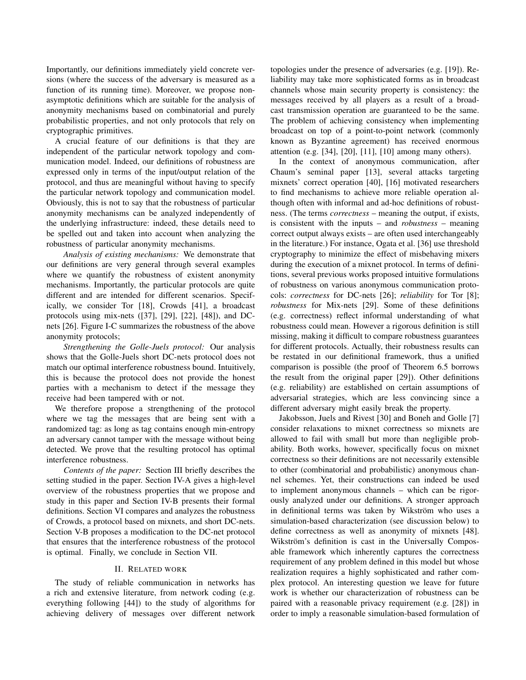Importantly, our definitions immediately yield concrete versions (where the success of the adversary is measured as a function of its running time). Moreover, we propose nonasymptotic definitions which are suitable for the analysis of anonymity mechanisms based on combinatorial and purely probabilistic properties, and not only protocols that rely on cryptographic primitives.

A crucial feature of our definitions is that they are independent of the particular network topology and communication model. Indeed, our definitions of robustness are expressed only in terms of the input/output relation of the protocol, and thus are meaningful without having to specify the particular network topology and communication model. Obviously, this is not to say that the robustness of particular anonymity mechanisms can be analyzed independently of the underlying infrastructure: indeed, these details need to be spelled out and taken into account when analyzing the robustness of particular anonymity mechanisms.

*Analysis of existing mechanisms:* We demonstrate that our definitions are very general through several examples where we quantify the robustness of existent anonymity mechanisms. Importantly, the particular protocols are quite different and are intended for different scenarios. Specifically, we consider Tor [18], Crowds [41], a broadcast protocols using mix-nets ([37], [29], [22], [48]), and DCnets [26]. Figure I-C summarizes the robustness of the above anonymity protocols;

*Strengthening the Golle-Juels protocol:* Our analysis shows that the Golle-Juels short DC-nets protocol does not match our optimal interference robustness bound. Intuitively, this is because the protocol does not provide the honest parties with a mechanism to detect if the message they receive had been tampered with or not.

We therefore propose a strengthening of the protocol where we tag the messages that are being sent with a randomized tag: as long as tag contains enough min-entropy an adversary cannot tamper with the message without being detected. We prove that the resulting protocol has optimal interference robustness.

*Contents of the paper:* Section III briefly describes the setting studied in the paper. Section IV-A gives a high-level overview of the robustness properties that we propose and study in this paper and Section IV-B presents their formal definitions. Section VI compares and analyzes the robustness of Crowds, a protocol based on mixnets, and short DC-nets. Section V-B proposes a modification to the DC-net protocol that ensures that the interference robustness of the protocol is optimal. Finally, we conclude in Section VII.

## II. RELATED WORK

The study of reliable communication in networks has a rich and extensive literature, from network coding (e.g. everything following [44]) to the study of algorithms for achieving delivery of messages over different network topologies under the presence of adversaries (e.g. [19]). Reliability may take more sophisticated forms as in broadcast channels whose main security property is consistency: the messages received by all players as a result of a broadcast transmission operation are guaranteed to be the same. The problem of achieving consistency when implementing broadcast on top of a point-to-point network (commonly known as Byzantine agreement) has received enormous attention (e.g. [34], [20], [11], [10] among many others).

In the context of anonymous communication, after Chaum's seminal paper [13], several attacks targeting mixnets' correct operation [40], [16] motivated researchers to find mechanisms to achieve more reliable operation although often with informal and ad-hoc definitions of robustness. (The terms *correctness* – meaning the output, if exists, is consistent with the inputs – and *robustness* – meaning correct output always exists – are often used interchangeably in the literature.) For instance, Ogata et al. [36] use threshold cryptography to minimize the effect of misbehaving mixers during the execution of a mixnet protocol. In terms of definitions, several previous works proposed intuitive formulations of robustness on various anonymous communication protocols: *correctness* for DC-nets [26]; *reliability* for Tor [8]; *robustness* for Mix-nets [29]. Some of these definitions (e.g. correctness) reflect informal understanding of what robustness could mean. However a rigorous definition is still missing, making it difficult to compare robustness guarantees for different protocols. Actually, their robustness results can be restated in our definitional framework, thus a unified comparison is possible (the proof of Theorem 6.5 borrows the result from the original paper [29]). Other definitions (e.g. reliability) are established on certain assumptions of adversarial strategies, which are less convincing since a different adversary might easily break the property.

Jakobsson, Juels and Rivest [30] and Boneh and Golle [7] consider relaxations to mixnet correctness so mixnets are allowed to fail with small but more than negligible probability. Both works, however, specifically focus on mixnet correctness so their definitions are not necessarily extensible to other (combinatorial and probabilistic) anonymous channel schemes. Yet, their constructions can indeed be used to implement anonymous channels – which can be rigorously analyzed under our definitions. A stronger approach in definitional terms was taken by Wikström who uses a simulation-based characterization (see discussion below) to define correctness as well as anonymity of mixnets [48]. Wikström's definition is cast in the Universally Composable framework which inherently captures the correctness requirement of any problem defined in this model but whose realization requires a highly sophisticated and rather complex protocol. An interesting question we leave for future work is whether our characterization of robustness can be paired with a reasonable privacy requirement (e.g. [28]) in order to imply a reasonable simulation-based formulation of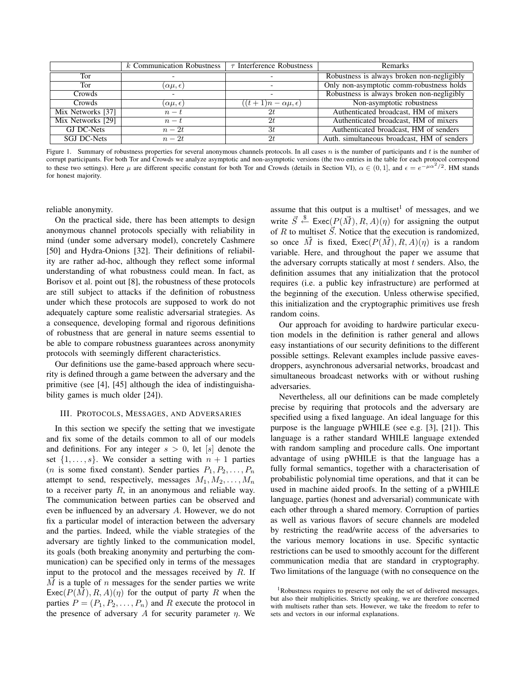|                    | k Communication Robustness $\pm \tau$ Interference Robustness |                                | <b>Remarks</b>                              |
|--------------------|---------------------------------------------------------------|--------------------------------|---------------------------------------------|
| Tor                |                                                               |                                | Robustness is always broken non-negligibly  |
| Tor                | $(\alpha\mu, \epsilon)$                                       |                                | Only non-asymptotic comm-robustness holds   |
| Crowds             |                                                               |                                | Robustness is always broken non-negligibly  |
| Crowds             | $(\alpha\mu,\epsilon)$                                        | $(t+1)n - \alpha\mu, \epsilon$ | Non-asymptotic robustness                   |
| Mix Networks [37]  | $n-t$                                                         | 2t                             | Authenticated broadcast, HM of mixers       |
| Mix Networks [29]  | $n-t$                                                         | 2t                             | Authenticated broadcast, HM of mixers       |
| GJ DC-Nets         | $n-2t$                                                        | 3t                             | Authenticated broadcast, HM of senders      |
| <b>SGJ DC-Nets</b> | $n-2t$                                                        | 2t                             | Auth. simultaneous broadcast, HM of senders |

Figure 1. Summary of robustness properties for several anonymous channels protocols. In all cases  $n$  is the number of participants and  $t$  is the number of corrupt participants. For both Tor and Crowds we analyze asymptotic and non-asymptotic versions (the two entries in the table for each protocol correspond to these two settings). Here  $\mu$  are different specific constant for both Tor and Crowds (details in Section VI),  $\alpha \in (0,1]$ , and  $\epsilon = e^{-\mu \alpha^2/2}$ . HM stands for honest majority.

reliable anonymity.

On the practical side, there has been attempts to design anonymous channel protocols specially with reliability in mind (under some adversary model), concretely Cashmere [50] and Hydra-Onions [32]. Their definitions of reliability are rather ad-hoc, although they reflect some informal understanding of what robustness could mean. In fact, as Borisov et al. point out [8], the robustness of these protocols are still subject to attacks if the definition of robustness under which these protocols are supposed to work do not adequately capture some realistic adversarial strategies. As a consequence, developing formal and rigorous definitions of robustness that are general in nature seems essential to be able to compare robustness guarantees across anonymity protocols with seemingly different characteristics.

Our definitions use the game-based approach where security is defined through a game between the adversary and the primitive (see [4], [45] although the idea of indistinguishability games is much older [24]).

#### III. PROTOCOLS, MESSAGES, AND ADVERSARIES

In this section we specify the setting that we investigate and fix some of the details common to all of our models and definitions. For any integer  $s > 0$ , let [s] denote the set  $\{1, \ldots, s\}$ . We consider a setting with  $n + 1$  parties (*n* is some fixed constant). Sender parties  $P_1, P_2, \ldots, P_n$ attempt to send, respectively, messages  $M_1, M_2, \ldots, M_n$ to a receiver party  $R$ , in an anonymous and reliable way. The communication between parties can be observed and even be influenced by an adversary A. However, we do not fix a particular model of interaction between the adversary and the parties. Indeed, while the viable strategies of the adversary are tightly linked to the communication model, its goals (both breaking anonymity and perturbing the communication) can be specified only in terms of the messages input to the protocol and the messages received by  $R$ . If  $\overline{M}$  is a tuple of n messages for the sender parties we write  $\textsf{Exec}(P(M), R, A)(\eta)$  for the output of party R when the parties  $P = (P_1, P_2, \dots, P_n)$  and R execute the protocol in the presence of adversary A for security parameter  $\eta$ . We assume that this output is a multiset<sup>1</sup> of messages, and we write  $\vec{S} \stackrel{\$}{\leftarrow}$  Exec $(P(\vec{M}), R, A)(\eta)$  for assigning the output of R to multiset  $\vec{S}$ . Notice that the execution is randomized, so once  $\vec{M}$  is fixed, Exec( $P(\vec{M})$ ,  $R$ ,  $A)(\eta)$  is a random variable. Here, and throughout the paper we assume that the adversary corrupts statically at most  $t$  senders. Also, the definition assumes that any initialization that the protocol requires (i.e. a public key infrastructure) are performed at the beginning of the execution. Unless otherwise specified, this initialization and the cryptographic primitives use fresh random coins.

Our approach for avoiding to hardwire particular execution models in the definition is rather general and allows easy instantiations of our security definitions to the different possible settings. Relevant examples include passive eavesdroppers, asynchronous adversarial networks, broadcast and simultaneous broadcast networks with or without rushing adversaries.

Nevertheless, all our definitions can be made completely precise by requiring that protocols and the adversary are specified using a fixed language. An ideal language for this purpose is the language pWHILE (see e.g. [3], [21]). This language is a rather standard WHILE language extended with random sampling and procedure calls. One important advantage of using pWHILE is that the language has a fully formal semantics, together with a characterisation of probabilistic polynomial time operations, and that it can be used in machine aided proofs. In the setting of a pWHILE language, parties (honest and adversarial) communicate with each other through a shared memory. Corruption of parties as well as various flavors of secure channels are modeled by restricting the read/write access of the adversaries to the various memory locations in use. Specific syntactic restrictions can be used to smoothly account for the different communication media that are standard in cryptography. Two limitations of the language (with no consequence on the

<sup>&</sup>lt;sup>1</sup>Robustness requires to preserve not only the set of delivered messages, but also their multiplicities. Strictly speaking, we are therefore concerned with multisets rather than sets. However, we take the freedom to refer to sets and vectors in our informal explanations.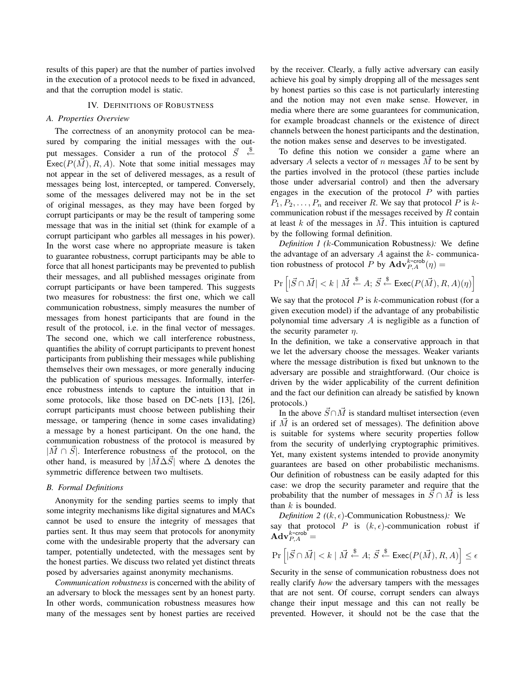results of this paper) are that the number of parties involved in the execution of a protocol needs to be fixed in advanced, and that the corruption model is static.

#### IV. DEFINITIONS OF ROBUSTNESS

## *A. Properties Overview*

The correctness of an anonymity protocol can be measured by comparing the initial messages with the output messages. Consider a run of the protocol  $\vec{S} \stackrel{\$}{\leftarrow}$  $\text{Exec}(P(\vec{M}), R, A)$ . Note that some initial messages may not appear in the set of delivered messages, as a result of messages being lost, intercepted, or tampered. Conversely, some of the messages delivered may not be in the set of original messages, as they may have been forged by corrupt participants or may be the result of tampering some message that was in the initial set (think for example of a corrupt participant who garbles all messages in his power). In the worst case where no appropriate measure is taken to guarantee robustness, corrupt participants may be able to force that all honest participants may be prevented to publish their messages, and all published messages originate from corrupt participants or have been tampered. This suggests two measures for robustness: the first one, which we call communication robustness, simply measures the number of messages from honest participants that are found in the result of the protocol, i.e. in the final vector of messages. The second one, which we call interference robustness, quantifies the ability of corrupt participants to prevent honest participants from publishing their messages while publishing themselves their own messages, or more generally inducing the publication of spurious messages. Informally, interference robustness intends to capture the intuition that in some protocols, like those based on DC-nets [13], [26], corrupt participants must choose between publishing their message, or tampering (hence in some cases invalidating) a message by a honest participant. On the one hand, the communication robustness of the protocol is measured by  $|M \cap S|$ . Interference robustness of the protocol, on the other hand, is measured by  $|\vec{M}\Delta\vec{S}|$  where  $\Delta$  denotes the symmetric difference between two multisets.

#### *B. Formal Definitions*

Anonymity for the sending parties seems to imply that some integrity mechanisms like digital signatures and MACs cannot be used to ensure the integrity of messages that parties sent. It thus may seem that protocols for anonymity come with the undesirable property that the adversary can tamper, potentially undetected, with the messages sent by the honest parties. We discuss two related yet distinct threats posed by adversaries against anonymity mechanisms.

*Communication robustness* is concerned with the ability of an adversary to block the messages sent by an honest party. In other words, communication robustness measures how many of the messages sent by honest parties are received by the receiver. Clearly, a fully active adversary can easily achieve his goal by simply dropping all of the messages sent by honest parties so this case is not particularly interesting and the notion may not even make sense. However, in media where there are some guarantees for communication, for example broadcast channels or the existence of direct channels between the honest participants and the destination, the notion makes sense and deserves to be investigated.

To define this notion we consider a game where an adversary A selects a vector of n messages  $\overline{M}$  to be sent by the parties involved in the protocol (these parties include those under adversarial control) and then the adversary engages in the execution of the protocol  $P$  with parties  $P_1, P_2, \ldots, P_n$  and receiver R. We say that protocol P is kcommunication robust if the messages received by  $R$  contain at least k of the messages in  $\vec{M}$ . This intuition is captured by the following formal definition.

*Definition 1 (*k-Communication Robustness*):* We define the advantage of an adversary  $A$  against the  $k$ - communication robustness of protocol P by  $\mathbf{Adv}_{P,A}^{k\text{-crob}}(\eta) =$ 

$$
\Pr\left[|\vec{S} \cap \vec{M}| < k \mid \vec{M} \stackrel{\$}{\leftarrow} A; \vec{S} \stackrel{\$}{\leftarrow} \text{Exec}(P(\vec{M}), R, A)(\eta)\right]
$$

We say that the protocol  $P$  is  $k$ -communication robust (for a given execution model) if the advantage of any probabilistic polynomial time adversary A is negligible as a function of the security parameter  $\eta$ .

In the definition, we take a conservative approach in that we let the adversary choose the messages. Weaker variants where the message distribution is fixed but unknown to the adversary are possible and straightforward. (Our choice is driven by the wider applicability of the current definition and the fact our definition can already be satisfied by known protocols.)

In the above  $\vec{S} \cap \vec{M}$  is standard multiset intersection (even if  $\overline{M}$  is an ordered set of messages). The definition above is suitable for systems where security properties follow from the security of underlying cryptographic primitives. Yet, many existent systems intended to provide anonymity guarantees are based on other probabilistic mechanisms. Our definition of robustness can be easily adapted for this case: we drop the security parameter and require that the probability that the number of messages in  $\vec{S} \cap \vec{M}$  is less than  $k$  is bounded.

*Definition 2 ((k,*  $\epsilon$ *)*-Communication Robustness): We say that protocol P is  $(k, \epsilon)$ -communication robust if  $\mathbf{Adv}_{P,A}^{k\text{-crob}} =$ 

$$
\Pr\left[|\vec{S} \cap \vec{M}| < k \mid \vec{M} \stackrel{\$}{\leftarrow} A; \vec{S} \stackrel{\$}{\leftarrow} \textsf{Exec}(P(\vec{M}), R, A)\right] \le \epsilon
$$

Security in the sense of communication robustness does not really clarify *how* the adversary tampers with the messages that are not sent. Of course, corrupt senders can always change their input message and this can not really be prevented. However, it should not be the case that the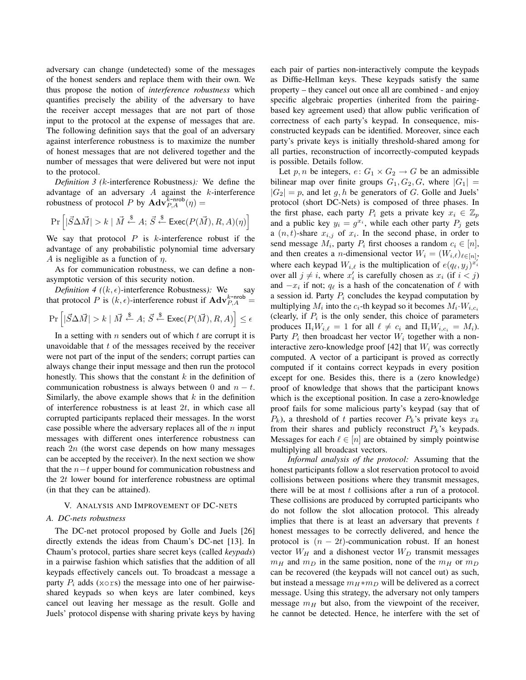adversary can change (undetected) some of the messages of the honest senders and replace them with their own. We thus propose the notion of *interference robustness* which quantifies precisely the ability of the adversary to have the receiver accept messages that are not part of those input to the protocol at the expense of messages that are. The following definition says that the goal of an adversary against interference robustness is to maximize the number of honest messages that are not delivered together and the number of messages that were delivered but were not input to the protocol.

*Definition 3 (*k-interference Robustness*):* We define the advantage of an adversary  $A$  against the  $k$ -interference robustness of protocol P by  $\mathbf{Adv}_{P,A}^{k\text{-nrob}}(\eta) =$ 

$$
\Pr\left[|\vec{S}\Delta\vec{M}| > k \mid \vec{M} \stackrel{\$}{\leftarrow} A; \vec{S} \stackrel{\$}{\leftarrow} \text{Exec}(P(\vec{M}), R, A)(\eta)\right]
$$

We say that protocol  $P$  is  $k$ -interference robust if the advantage of any probabilistic polynomial time adversary A is negligible as a function of  $\eta$ .

As for communication robustness, we can define a nonasymptotic version of this security notion.

*Definition 4* ( $(k, \epsilon)$ -interference Robustness): We say that protocol P is  $(k, \epsilon)$ -interference robust if  $\mathbf{Adv}_{P,A}^{k\text{-nrob}} =$ 

$$
\Pr\left[|\vec{S}\Delta\vec{M}|>k\mid\vec{M} \stackrel{\$}{\leftarrow} A; \, \vec{S} \stackrel{\$}{\leftarrow} \mathsf{Exec}(P(\vec{M}), R, A)\right]\leq \epsilon
$$

In a setting with  $n$  senders out of which  $t$  are corrupt it is unavoidable that  $t$  of the messages received by the receiver were not part of the input of the senders; corrupt parties can always change their input message and then run the protocol honestly. This shows that the constant  $k$  in the definition of communication robustness is always between 0 and  $n - t$ . Similarly, the above example shows that  $k$  in the definition of interference robustness is at least  $2t$ , in which case all corrupted participants replaced their messages. In the worst case possible where the adversary replaces all of the  $n$  input messages with different ones interference robustness can reach  $2n$  (the worst case depends on how many messages can be accepted by the receiver). In the next section we show that the  $n-t$  upper bound for communication robustness and the 2t lower bound for interference robustness are optimal (in that they can be attained).

## V. ANALYSIS AND IMPROVEMENT OF DC-NETS

## *A. DC-nets robustness*

The DC-net protocol proposed by Golle and Juels [26] directly extends the ideas from Chaum's DC-net [13]. In Chaum's protocol, parties share secret keys (called *keypads*) in a pairwise fashion which satisfies that the addition of all keypads effectively cancels out. To broadcast a message a party  $P_i$  adds (xors) the message into one of her pairwiseshared keypads so when keys are later combined, keys cancel out leaving her message as the result. Golle and Juels' protocol dispense with sharing private keys by having each pair of parties non-interactively compute the keypads as Diffie-Hellman keys. These keypads satisfy the same property – they cancel out once all are combined - and enjoy specific algebraic properties (inherited from the pairingbased key agreement used) that allow public verification of correctness of each party's keypad. In consequence, misconstructed keypads can be identified. Moreover, since each party's private keys is initially threshold-shared among for all parties, reconstruction of incorrectly-computed keypads is possible. Details follow.

Let p, n be integers,  $e: G_1 \times G_2 \rightarrow G$  be an admissible bilinear map over finite groups  $G_1, G_2, G$ , where  $|G_1| =$  $|G_2| = p$ , and let g, h be generators of G. Golle and Juels' protocol (short DC-Nets) is composed of three phases. In the first phase, each party  $P_i$  gets a private key  $x_i \in \mathbb{Z}_p$ and a public key  $y_i = g^{x_i}$ , while each other party  $P_j$  gets a  $(n, t)$ -share  $x_{i,j}$  of  $x_i$ . In the second phase, in order to send message  $M_i$ , party  $P_i$  first chooses a random  $c_i \in [n]$ , and then creates a *n*-dimensional vector  $W_i = (W_{i,\ell})_{\ell \in [n]},$ where each keypad  $W_{i,\ell}$  is the multiplication of  $e(q_\ell, y_j) x_i^{\prime}$ over all  $j \neq i$ , where  $x'_i$  is carefully chosen as  $x_i$  (if  $i < j$ ) and  $-x_i$  if not;  $q_\ell$  is a hash of the concatenation of  $\ell$  with a session id. Party  $P_i$  concludes the keypad computation by multiplying  $M_i$  into the  $c_i$ -th keypad so it becomes  $M_i \cdot W_{i,c_i}$ (clearly, if  $P_i$  is the only sender, this choice of parameters produces  $\Pi_i W_{i,\ell} = 1$  for all  $\ell \neq c_i$  and  $\Pi_i W_{i,c_i} = M_i$ ). Party  $P_i$  then broadcast her vector  $W_i$  together with a noninteractive zero-knowledge proof [42] that  $W_i$  was correctly computed. A vector of a participant is proved as correctly computed if it contains correct keypads in every position except for one. Besides this, there is a (zero knowledge) proof of knowledge that shows that the participant knows which is the exceptional position. In case a zero-knowledge proof fails for some malicious party's keypad (say that of  $P_k$ ), a threshold of t parties recover  $P_k$ 's private keys  $x_k$ from their shares and publicly reconstruct  $P_k$ 's keypads. Messages for each  $\ell \in [n]$  are obtained by simply pointwise multiplying all broadcast vectors.

*Informal analysis of the protocol:* Assuming that the honest participants follow a slot reservation protocol to avoid collisions between positions where they transmit messages, there will be at most  $t$  collisions after a run of a protocol. These collisions are produced by corrupted participants who do not follow the slot allocation protocol. This already implies that there is at least an adversary that prevents  $t$ honest messages to be correctly delivered, and hence the protocol is  $(n - 2t)$ -communication robust. If an honest vector  $W_H$  and a dishonest vector  $W_D$  transmit messages  $m_H$  and  $m_D$  in the same position, none of the  $m_H$  or  $m_D$ can be recovered (the keypads will not cancel out) as such, but instead a message  $m_H * m_D$  will be delivered as a correct message. Using this strategy, the adversary not only tampers message  $m_H$  but also, from the viewpoint of the receiver, he cannot be detected. Hence, he interfere with the set of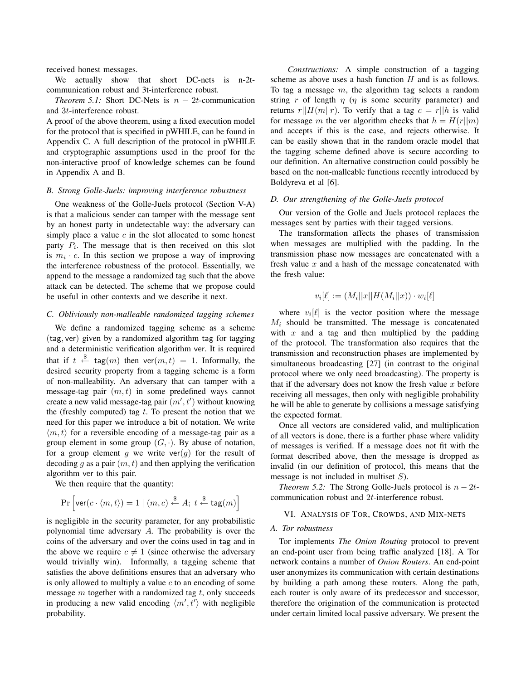received honest messages.

We actually show that short DC-nets is n-2tcommunication robust and 3t-interference robust.

*Theorem 5.1:* Short DC-Nets is  $n - 2t$ -communication and 3t-interference robust.

A proof of the above theorem, using a fixed execution model for the protocol that is specified in pWHILE, can be found in Appendix C. A full description of the protocol in pWHILE and cryptographic assumptions used in the proof for the non-interactive proof of knowledge schemes can be found in Appendix A and B.

#### *B. Strong Golle-Juels: improving interference robustness*

One weakness of the Golle-Juels protocol (Section V-A) is that a malicious sender can tamper with the message sent by an honest party in undetectable way: the adversary can simply place a value  $c$  in the slot allocated to some honest party  $P_i$ . The message that is then received on this slot is  $m_i \cdot c$ . In this section we propose a way of improving the interference robustness of the protocol. Essentially, we append to the message a randomized tag such that the above attack can be detected. The scheme that we propose could be useful in other contexts and we describe it next.

#### *C. Obliviously non-malleable randomized tagging schemes*

We define a randomized tagging scheme as a scheme (tag, ver) given by a randomized algorithm tag for tagging and a deterministic verification algorithm ver. It is required that if  $t \stackrel{\$}{\leftarrow} \text{tag}(m)$  then  $\text{ver}(m, t) = 1$ . Informally, the desired security property from a tagging scheme is a form of non-malleability. An adversary that can tamper with a message-tag pair  $(m, t)$  in some predefined ways cannot create a new valid message-tag pair  $(m', t')$  without knowing the (freshly computed) tag  $t$ . To present the notion that we need for this paper we introduce a bit of notation. We write  $\langle m, t \rangle$  for a reversible encoding of a message-tag pair as a group element in some group  $(G, \cdot)$ . By abuse of notation, for a group element q we write  $\text{ver}(q)$  for the result of decoding g as a pair  $(m, t)$  and then applying the verification algorithm ver to this pair.

We then require that the quantity:

$$
\Pr\left[\text{ver}(c \cdot \langle m, t \rangle) = 1 \mid (m, c) \stackrel{\$}{\leftarrow} A; t \stackrel{\$}{\leftarrow} \text{tag}(m)\right]
$$

is negligible in the security parameter, for any probabilistic polynomial time adversary A. The probability is over the coins of the adversary and over the coins used in tag and in the above we require  $c \neq 1$  (since otherwise the adversary would trivially win). Informally, a tagging scheme that satisfies the above definitions ensures that an adversary who is only allowed to multiply a value  $c$  to an encoding of some message  $m$  together with a randomized tag  $t$ , only succeeds in producing a new valid encoding  $\langle m', t'\rangle$  with negligible probability.

*Constructions:* A simple construction of a tagging scheme as above uses a hash function H and is as follows. To tag a message  $m$ , the algorithm tag selects a random string r of length  $\eta$  ( $\eta$  is some security parameter) and returns  $r||H(m||r)$ . To verify that a tag  $c = r||h$  is valid for message m the ver algorithm checks that  $h = H(r||m)$ and accepts if this is the case, and rejects otherwise. It can be easily shown that in the random oracle model that the tagging scheme defined above is secure according to our definition. An alternative construction could possibly be based on the non-malleable functions recently introduced by Boldyreva et al [6].

#### *D. Our strengthening of the Golle-Juels protocol*

Our version of the Golle and Juels protocol replaces the messages sent by parties with their tagged versions.

The transformation affects the phases of transmission when messages are multiplied with the padding. In the transmission phase now messages are concatenated with a fresh value  $x$  and a hash of the message concatenated with the fresh value:

$$
v_i[\ell] := (M_i||x||H(M_i||x)) \cdot w_i[\ell]
$$

where  $v_i[\ell]$  is the vector position where the message  $M_i$  should be transmitted. The message is concatenated with  $x$  and a tag and then multiplied by the padding of the protocol. The transformation also requires that the transmission and reconstruction phases are implemented by simultaneous broadcasting [27] (in contrast to the original protocol where we only need broadcasting). The property is that if the adversary does not know the fresh value  $x$  before receiving all messages, then only with negligible probability he will be able to generate by collisions a message satisfying the expected format.

Once all vectors are considered valid, and multiplication of all vectors is done, there is a further phase where validity of messages is verified. If a message does not fit with the format described above, then the message is dropped as invalid (in our definition of protocol, this means that the message is not included in multiset  $S$ ).

*Theorem 5.2:* The Strong Golle-Juels protocol is  $n - 2t$ communication robust and 2t-interference robust.

## VI. ANALYSIS OF TOR, CROWDS, AND MIX-NETS

#### *A. Tor robustness*

Tor implements *The Onion Routing* protocol to prevent an end-point user from being traffic analyzed [18]. A Tor network contains a number of *Onion Routers*. An end-point user anonymizes its communication with certain destinations by building a path among these routers. Along the path, each router is only aware of its predecessor and successor, therefore the origination of the communication is protected under certain limited local passive adversary. We present the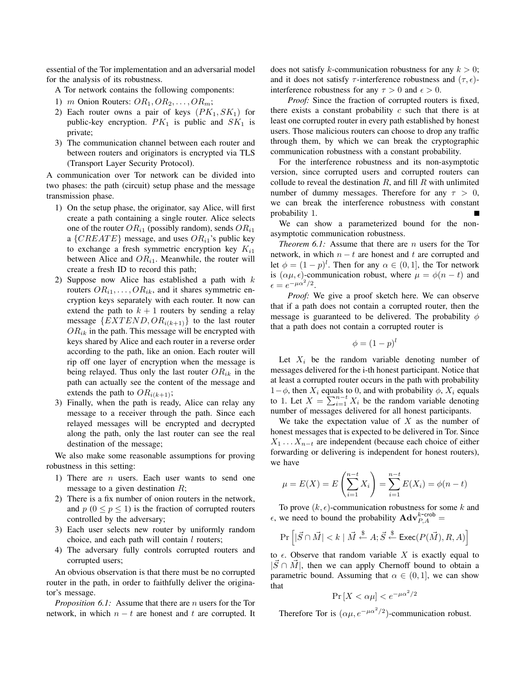essential of the Tor implementation and an adversarial model for the analysis of its robustness.

A Tor network contains the following components:

- 1) *m* Onion Routers:  $OR_1, OR_2, \ldots, OR_m$ ;
- 2) Each router owns a pair of keys  $(PK_1, SK_1)$  for public-key encryption.  $PK_1$  is public and  $SK_1$  is private;
- 3) The communication channel between each router and between routers and originators is encrypted via TLS (Transport Layer Security Protocol).

A communication over Tor network can be divided into two phases: the path (circuit) setup phase and the message transmission phase.

- 1) On the setup phase, the originator, say Alice, will first create a path containing a single router. Alice selects one of the router  $OR_{i1}$  (possibly random), sends  $OR_{i1}$ a  $\{CREATE\}$  message, and uses  $OR_{i1}$ 's public key to exchange a fresh symmetric encryption key  $K_{i1}$ between Alice and  $OR_{i1}$ . Meanwhile, the router will create a fresh ID to record this path;
- 2) Suppose now Alice has established a path with  $k$ routers  $OR_{i1}, \ldots, OR_{ik}$ , and it shares symmetric encryption keys separately with each router. It now can extend the path to  $k + 1$  routers by sending a relay message  $\{EXTEND, OR_{i(k+1)}\}$  to the last router  $OR_{ik}$  in the path. This message will be encrypted with keys shared by Alice and each router in a reverse order according to the path, like an onion. Each router will rip off one layer of encryption when the message is being relayed. Thus only the last router  $OR_{ik}$  in the path can actually see the content of the message and extends the path to  $OR_{i(k+1)}$ ;
- 3) Finally, when the path is ready, Alice can relay any message to a receiver through the path. Since each relayed messages will be encrypted and decrypted along the path, only the last router can see the real destination of the message;

We also make some reasonable assumptions for proving robustness in this setting:

- 1) There are  $n$  users. Each user wants to send one message to a given destination  $R$ ;
- 2) There is a fix number of onion routers in the network, and  $p (0 \le p \le 1)$  is the fraction of corrupted routers controlled by the adversary;
- 3) Each user selects new router by uniformly random choice, and each path will contain  $l$  routers;
- 4) The adversary fully controls corrupted routers and corrupted users;

An obvious observation is that there must be no corrupted router in the path, in order to faithfully deliver the originator's message.

*Proposition 6.1:* Assume that there are *n* users for the Tor network, in which  $n - t$  are honest and t are corrupted. It does not satisfy k-communication robustness for any  $k > 0$ ; and it does not satisfy  $\tau$ -interference robustness and  $(\tau, \epsilon)$ interference robustness for any  $\tau > 0$  and  $\epsilon > 0$ .

*Proof:* Since the fraction of corrupted routers is fixed, there exists a constant probability  $c$  such that there is at least one corrupted router in every path established by honest users. Those malicious routers can choose to drop any traffic through them, by which we can break the cryptographic communication robustness with a constant probability.

For the interference robustness and its non-asymptotic version, since corrupted users and corrupted routers can collude to reveal the destination  $R$ , and fill  $R$  with unlimited number of dummy messages. Therefore for any  $\tau > 0$ , we can break the interference robustness with constant probability 1.

We can show a parameterized bound for the nonasymptotic communication robustness.

*Theorem 6.1:* Assume that there are *n* users for the Tor network, in which  $n - t$  are honest and t are corrupted and let  $\phi = (1 - p)^l$ . Then for any  $\alpha \in (0, 1]$ , the Tor network is  $(\alpha \mu, \epsilon)$ -communication robust, where  $\mu = \phi(n - t)$  and  $\epsilon = e^{-\mu \alpha^2/2}.$ 

*Proof:* We give a proof sketch here. We can observe that if a path does not contain a corrupted router, then the message is guaranteed to be delivered. The probability  $\phi$ that a path does not contain a corrupted router is

$$
\phi = (1 - p)^l
$$

Let  $X_i$  be the random variable denoting number of messages delivered for the i-th honest participant. Notice that at least a corrupted router occurs in the path with probability 1− $\phi$ , then  $X_i$  equals to 0, and with probability  $\phi$ ,  $X_i$  equals to 1. Let  $X = \sum_{i=1}^{n-t} X_i$  be the random variable denoting number of messages delivered for all honest participants.

We take the expectation value of  $X$  as the number of honest messages that is expected to be delivered in Tor. Since  $X_1 \ldots X_{n-t}$  are independent (because each choice of either forwarding or delivering is independent for honest routers), we have

$$
\mu = E(X) = E\left(\sum_{i=1}^{n-t} X_i\right) = \sum_{i=1}^{n-t} E(X_i) = \phi(n-t)
$$

To prove  $(k, \epsilon)$ -communication robustness for some k and  $\epsilon$ , we need to bound the probability  $\mathbf{Adv}_{P,A}^{k\text{-crob}} =$ 

$$
\Pr \left[ |\vec{S} \cap \vec{M}| < k \mid \vec{M} \stackrel{\$}{\leftarrow} A; \vec{S} \stackrel{\$}{\leftarrow} \textsf{Exec}(P(\vec{M}), R, A) \right]
$$

to  $\epsilon$ . Observe that random variable X is exactly equal to  $|\vec{S} \cap \vec{M}|$ , then we can apply Chernoff bound to obtain a parametric bound. Assuming that  $\alpha \in (0, 1]$ , we can show that

$$
\Pr\left[X < \alpha\mu\right] < e^{-\mu\alpha^2/2}
$$

Therefore Tor is  $(\alpha \mu, e^{-\mu \alpha^2/2})$ -communication robust.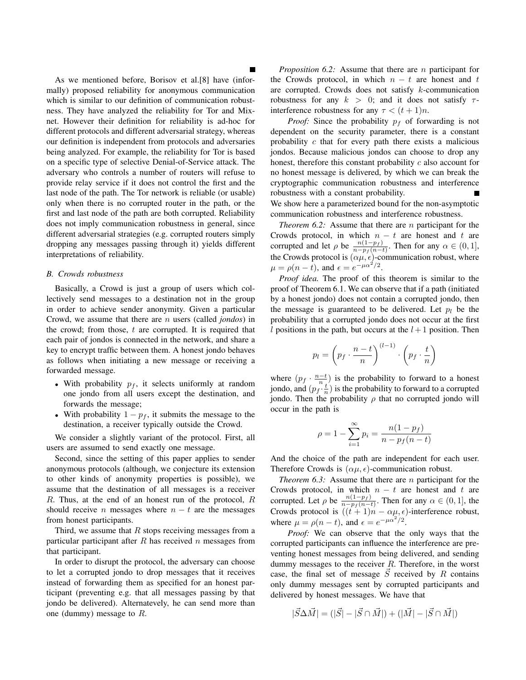As we mentioned before, Borisov et al.[8] have (informally) proposed reliability for anonymous communication which is similar to our definition of communication robustness. They have analyzed the reliability for Tor and Mixnet. However their definition for reliability is ad-hoc for different protocols and different adversarial strategy, whereas our definition is independent from protocols and adversaries being analyzed. For example, the reliability for Tor is based on a specific type of selective Denial-of-Service attack. The adversary who controls a number of routers will refuse to provide relay service if it does not control the first and the last node of the path. The Tor network is reliable (or usable) only when there is no corrupted router in the path, or the first and last node of the path are both corrupted. Reliability does not imply communication robustness in general, since different adversarial strategies (e.g. corrupted routers simply

# dropping any messages passing through it) yields different interpretations of reliability.

## *B. Crowds robustness*

Basically, a Crowd is just a group of users which collectively send messages to a destination not in the group in order to achieve sender anonymity. Given a particular Crowd, we assume that there are n users (called *jondos*) in the crowd; from those,  $t$  are corrupted. It is required that each pair of jondos is connected in the network, and share a key to encrypt traffic between them. A honest jondo behaves as follows when initiating a new message or receiving a forwarded message.

- With probability  $p_f$ , it selects uniformly at random one jondo from all users except the destination, and forwards the message;
- With probability  $1 p_f$ , it submits the message to the destination, a receiver typically outside the Crowd.

We consider a slightly variant of the protocol. First, all users are assumed to send exactly one message.

Second, since the setting of this paper applies to sender anonymous protocols (although, we conjecture its extension to other kinds of anonymity properties is possible), we assume that the destination of all messages is a receiver R. Thus, at the end of an honest run of the protocol, R should receive *n* messages where  $n - t$  are the messages from honest participants.

Third, we assume that  $R$  stops receiving messages from a particular participant after  $R$  has received  $n$  messages from that participant.

In order to disrupt the protocol, the adversary can choose to let a corrupted jondo to drop messages that it receives instead of forwarding them as specified for an honest participant (preventing e.g. that all messages passing by that jondo be delivered). Alternatevely, he can send more than one (dummy) message to R.

*Proposition 6.2:* Assume that there are *n* participant for the Crowds protocol, in which  $n - t$  are honest and t are corrupted. Crowds does not satisfy k-communication robustness for any  $k > 0$ ; and it does not satisfy  $\tau$ interference robustness for any  $\tau < (t+1)n$ .

*Proof:* Since the probability  $p_f$  of forwarding is not dependent on the security parameter, there is a constant probability c that for every path there exists a malicious jondos. Because malicious jondos can choose to drop any honest, therefore this constant probability c also account for no honest message is delivered, by which we can break the cryptographic communication robustness and interference robustness with a constant probability.

We show here a parameterized bound for the non-asymptotic communication robustness and interference robustness.

*Theorem 6.2:* Assume that there are *n* participant for the Crowds protocol, in which  $n - t$  are honest and t are corrupted and let  $\rho$  be  $\frac{n(1-p_f)}{n-p_f(n-t)}$ . Then for any  $\alpha \in (0,1]$ , the Crowds protocol is  $(\alpha \mu, \epsilon)$ -communication robust, where  $\mu = \rho(n - t)$ , and  $\epsilon = e^{-\mu \alpha^2/2}$ .

*Proof idea.* The proof of this theorem is similar to the proof of Theorem 6.1. We can observe that if a path (initiated by a honest jondo) does not contain a corrupted jondo, then the message is guaranteed to be delivered. Let  $p_l$  be the probability that a corrupted jondo does not occur at the first l positions in the path, but occurs at the  $l+1$  position. Then

$$
p_l = \left(p_f \cdot \frac{n-t}{n}\right)^{(l-1)} \cdot \left(p_f \cdot \frac{t}{n}\right)
$$

where  $(p_f \cdot \frac{n-t}{n})$  is the probability to forward to a honest jondo, and  $(p_f \cdot \frac{t}{n})$  is the probability to forward to a corrupted jondo. Then the probability  $\rho$  that no corrupted jondo will occur in the path is

$$
\rho = 1 - \sum_{i=1}^{\infty} p_i = \frac{n(1 - p_f)}{n - p_f(n - t)}
$$

And the choice of the path are independent for each user. Therefore Crowds is  $(\alpha\mu, \epsilon)$ -communication robust.

*Theorem 6.3:* Assume that there are *n* participant for the Crowds protocol, in which  $n - t$  are honest and t are corrupted. Let  $\rho$  be  $\frac{n(1-p_f)}{n-p_f(n-t)}$ . Then for any  $\alpha \in (0,1]$ , the Crowds protocol is  $((t + 1)n - \alpha \mu, \epsilon)$ -interference robust, where  $\mu = \rho(n - t)$ , and  $\epsilon = e^{-\mu \alpha^2/2}$ .

*Proof:* We can observe that the only ways that the corrupted participants can influence the interference are preventing honest messages from being delivered, and sending dummy messages to the receiver  $R$ . Therefore, in the worst case, the final set of message  $\vec{S}$  received by R contains only dummy messages sent by corrupted participants and delivered by honest messages. We have that

$$
|\vec{S}\Delta \vec{M}| = (|\vec{S}| - |\vec{S} \cap \vec{M}|) + (|\vec{M}| - |\vec{S} \cap \vec{M}|)
$$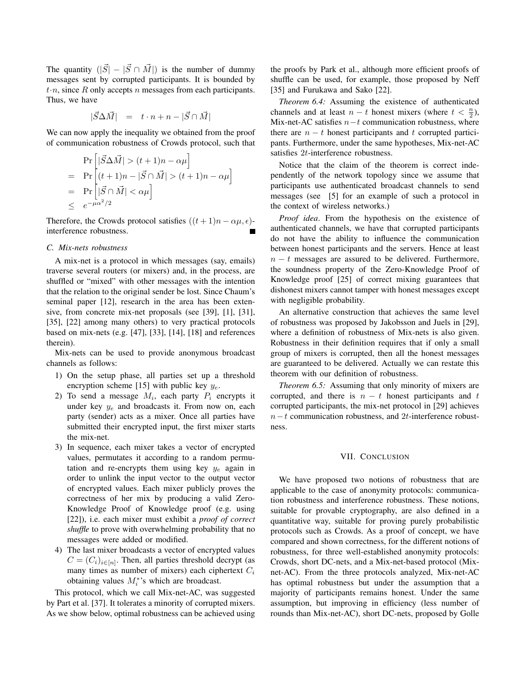The quantity  $(|\vec{S}| - |\vec{S} \cap \vec{M}|)$  is the number of dummy messages sent by corrupted participants. It is bounded by  $t \cdot n$ , since R only accepts n messages from each participants. Thus, we have

$$
|\vec{S}\Delta\vec{M}| = t \cdot n + n - |\vec{S} \cap \vec{M}|
$$

We can now apply the inequality we obtained from the proof of communication robustness of Crowds protocol, such that

$$
\Pr\left[|\vec{S}\Delta\vec{M}| > (t+1)n - \alpha\mu\right]
$$
\n
$$
= \Pr\left[(t+1)n - |\vec{S}\cap\vec{M}| > (t+1)n - \alpha\mu\right]
$$
\n
$$
= \Pr\left[|\vec{S}\cap\vec{M}| < \alpha\mu\right]
$$
\n
$$
\leq e^{-\mu\alpha^2/2}
$$

Therefore, the Crowds protocol satisfies  $((t + 1)n - \alpha \mu, \epsilon)$ interference robustness.

## *C. Mix-nets robustness*

A mix-net is a protocol in which messages (say, emails) traverse several routers (or mixers) and, in the process, are shuffled or "mixed" with other messages with the intention that the relation to the original sender be lost. Since Chaum's seminal paper [12], research in the area has been extensive, from concrete mix-net proposals (see [39], [1], [31], [35], [22] among many others) to very practical protocols based on mix-nets (e.g. [47], [33], [14], [18] and references therein).

Mix-nets can be used to provide anonymous broadcast channels as follows:

- 1) On the setup phase, all parties set up a threshold encryption scheme [15] with public key  $y_e$ .
- 2) To send a message  $M_i$ , each party  $P_i$  encrypts it under key  $y_e$  and broadcasts it. From now on, each party (sender) acts as a mixer. Once all parties have submitted their encrypted input, the first mixer starts the mix-net.
- 3) In sequence, each mixer takes a vector of encrypted values, permutates it according to a random permutation and re-encrypts them using key  $y_e$  again in order to unlink the input vector to the output vector of encrypted values. Each mixer publicly proves the correctness of her mix by producing a valid Zero-Knowledge Proof of Knowledge proof (e.g. using [22]), i.e. each mixer must exhibit a *proof of correct shuffle* to prove with overwhelming probability that no messages were added or modified.
- 4) The last mixer broadcasts a vector of encrypted values  $C = (C_i)_{i \in [n]}$ . Then, all parties threshold decrypt (as many times as number of mixers) each ciphertext  $C_i$ obtaining values  $M_i^*$ 's which are broadcast.

This protocol, which we call Mix-net-AC, was suggested by Part et al. [37]. It tolerates a minority of corrupted mixers. As we show below, optimal robustness can be achieved using the proofs by Park et al., although more efficient proofs of shuffle can be used, for example, those proposed by Neff [35] and Furukawa and Sako [22].

*Theorem 6.4:* Assuming the existence of authenticated channels and at least  $n - t$  honest mixers (where  $t < \frac{n}{2}$ ), Mix-net-AC satisfies  $n-t$  communication robustness, where there are  $n - t$  honest participants and t corrupted participants. Furthermore, under the same hypotheses, Mix-net-AC satisfies 2t-interference robustness.

Notice that the claim of the theorem is correct independently of the network topology since we assume that participants use authenticated broadcast channels to send messages (see [5] for an example of such a protocol in the context of wireless networks.)

*Proof idea*. From the hypothesis on the existence of authenticated channels, we have that corrupted participants do not have the ability to influence the communication between honest participants and the servers. Hence at least  $n - t$  messages are assured to be delivered. Furthermore, the soundness property of the Zero-Knowledge Proof of Knowledge proof [25] of correct mixing guarantees that dishonest mixers cannot tamper with honest messages except with negligible probability.

An alternative construction that achieves the same level of robustness was proposed by Jakobsson and Juels in [29], where a definition of robustness of Mix-nets is also given. Robustness in their definition requires that if only a small group of mixers is corrupted, then all the honest messages are guaranteed to be delivered. Actually we can restate this theorem with our definition of robustness.

*Theorem 6.5:* Assuming that only minority of mixers are corrupted, and there is  $n - t$  honest participants and t corrupted participants, the mix-net protocol in [29] achieves  $n-t$  communication robustness, and 2t-interference robustness.

#### VII. CONCLUSION

We have proposed two notions of robustness that are applicable to the case of anonymity protocols: communication robustness and interference robustness. These notions, suitable for provable cryptography, are also defined in a quantitative way, suitable for proving purely probabilistic protocols such as Crowds. As a proof of concept, we have compared and shown correctness, for the different notions of robustness, for three well-established anonymity protocols: Crowds, short DC-nets, and a Mix-net-based protocol (Mixnet-AC). From the three protocols analyzed, Mix-net-AC has optimal robustness but under the assumption that a majority of participants remains honest. Under the same assumption, but improving in efficiency (less number of rounds than Mix-net-AC), short DC-nets, proposed by Golle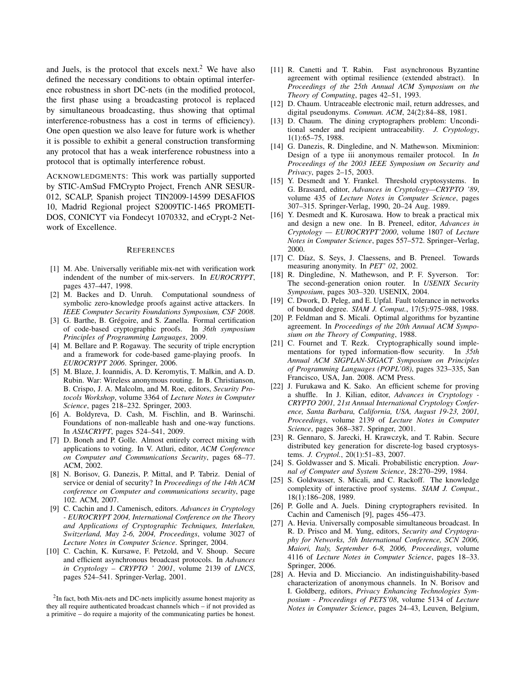and Juels, is the protocol that excels next.<sup>2</sup> We have also defined the necessary conditions to obtain optimal interference robustness in short DC-nets (in the modified protocol, the first phase using a broadcasting protocol is replaced by simultaneous broadcasting, thus showing that optimal interference-robustness has a cost in terms of efficiency). One open question we also leave for future work is whether it is possible to exhibit a general construction transforming any protocol that has a weak interference robustness into a protocol that is optimally interference robust.

ACKNOWLEDGMENTS: This work was partially supported by STIC-AmSud FMCrypto Project, French ANR SESUR-012, SCALP, Spanish project TIN2009-14599 DESAFIOS 10, Madrid Regional project S2009TIC-1465 PROMETI-DOS, CONICYT via Fondecyt 1070332, and eCrypt-2 Network of Excellence.

#### **REFERENCES**

- [1] M. Abe. Universally verifiable mix-net with verification work indendent of the number of mix-servers. In *EUROCRYPT*, pages 437–447, 1998.
- [2] M. Backes and D. Unruh. Computational soundness of symbolic zero-knowledge proofs against active attackers. In *IEEE Computer Security Foundations Symposium, CSF 2008*.
- [3] G. Barthe, B. Grégoire, and S. Zanella. Formal certification of code-based cryptographic proofs. In *36th symposium Principles of Programming Languages*, 2009.
- [4] M. Bellare and P. Rogaway. The security of triple encryption and a framework for code-based game-playing proofs. In *EUROCRYPT 2006*. Springer, 2006.
- [5] M. Blaze, J. Ioannidis, A. D. Keromytis, T. Malkin, and A. D. Rubin. War: Wireless anonymous routing. In B. Christianson, B. Crispo, J. A. Malcolm, and M. Roe, editors, *Security Protocols Workshop*, volume 3364 of *Lecture Notes in Computer Science*, pages 218–232. Springer, 2003.
- [6] A. Boldyreva, D. Cash, M. Fischlin, and B. Warinschi. Foundations of non-malleable hash and one-way functions. In *ASIACRYPT*, pages 524–541, 2009.
- [7] D. Boneh and P. Golle. Almost entirely correct mixing with applications to voting. In V. Atluri, editor, *ACM Conference on Computer and Communications Security*, pages 68–77. ACM, 2002.
- [8] N. Borisov, G. Danezis, P. Mittal, and P. Tabriz. Denial of service or denial of security? In *Proceedings of the 14th ACM conference on Computer and communications security*, page 102. ACM, 2007.
- [9] C. Cachin and J. Camenisch, editors. *Advances in Cryptology - EUROCRYPT 2004, International Conference on the Theory and Applications of Cryptographic Techniques, Interlaken, Switzerland, May 2-6, 2004, Proceedings*, volume 3027 of *Lecture Notes in Computer Science*. Springer, 2004.
- [10] C. Cachin, K. Kursawe, F. Petzold, and V. Shoup. Secure and efficient asynchronous broadcast protocols. In *Advances in Cryptology – CRYPTO ' 2001*, volume 2139 of *LNCS*, pages 524–541. Springer-Verlag, 2001.

 $2$ In fact, both Mix-nets and DC-nets implicitly assume honest majority as they all require authenticated broadcast channels which – if not provided as a primitive – do require a majority of the communicating parties be honest.

- [11] R. Canetti and T. Rabin. Fast asynchronous Byzantine agreement with optimal resilience (extended abstract). In *Proceedings of the 25th Annual ACM Symposium on the Theory of Computing*, pages 42–51, 1993.
- [12] D. Chaum. Untraceable electronic mail, return addresses, and digital pseudonyms. *Commun. ACM*, 24(2):84–88, 1981.
- [13] D. Chaum. The dining cryptographers problem: Unconditional sender and recipient untraceability. *J. Cryptology*, 1(1):65–75, 1988.
- [14] G. Danezis, R. Dingledine, and N. Mathewson. Mixminion: Design of a type iii anonymous remailer protocol. In *In Proceedings of the 2003 IEEE Symposium on Security and Privacy*, pages 2–15, 2003.
- [15] Y. Desmedt and Y. Frankel. Threshold cryptosystems. In G. Brassard, editor, *Advances in Cryptology—CRYPTO '89*, volume 435 of *Lecture Notes in Computer Science*, pages 307–315. Springer-Verlag, 1990, 20–24 Aug. 1989.
- [16] Y. Desmedt and K. Kurosawa. How to break a practical mix and design a new one. In B. Preneel, editor, *Advances in Cryptology — EUROCRYPT'2000*, volume 1807 of *Lecture Notes in Computer Science*, pages 557–572. Springer–Verlag, 2000.
- [17] C. Díaz, S. Seys, J. Claessens, and B. Preneel. Towards measuring anonymity. In *PET' 02*, 2002.
- [18] R. Dingledine, N. Mathewson, and P. F. Syverson. Tor: The second-generation onion router. In *USENIX Security Symposium*, pages 303–320. USENIX, 2004.
- [19] C. Dwork, D. Peleg, and E. Upfal. Fault tolerance in networks of bounded degree. *SIAM J. Comput.*, 17(5):975–988, 1988.
- [20] P. Feldman and S. Micali. Optimal algorithms for byzantine agreement. In *Proceedings of the 20th Annual ACM Symposium on the Theory of Computing*, 1988.
- [21] C. Fournet and T. Rezk. Cryptographically sound implementations for typed information-flow security. In *35th Annual ACM SIGPLAN-SIGACT Symposium on Principles of Programming Languages (POPL'08)*, pages 323–335, San Francisco, USA, Jan. 2008. ACM Press.
- [22] J. Furukawa and K. Sako. An efficient scheme for proving a shuffle. In J. Kilian, editor, *Advances in Cryptology - CRYPTO 2001, 21st Annual International Cryptology Conference, Santa Barbara, California, USA, August 19-23, 2001, Proceedings*, volume 2139 of *Lecture Notes in Computer Science*, pages 368–387. Springer, 2001.
- [23] R. Gennaro, S. Jarecki, H. Krawczyk, and T. Rabin. Secure distributed key generation for discrete-log based cryptosystems. *J. Cryptol.*, 20(1):51–83, 2007.
- [24] S. Goldwasser and S. Micali. Probabilistic encryption. *Journal of Computer and System Science*, 28:270–299, 1984.
- [25] S. Goldwasser, S. Micali, and C. Rackoff. The knowledge complexity of interactive proof systems. *SIAM J. Comput.*, 18(1):186–208, 1989.
- [26] P. Golle and A. Juels. Dining cryptographers revisited. In Cachin and Camenisch [9], pages 456–473.
- [27] A. Hevia. Universally composable simultaneous broadcast. In R. D. Prisco and M. Yung, editors, *Security and Cryptography for Networks, 5th International Conference, SCN 2006, Maiori, Italy, September 6-8, 2006, Proceedings*, volume 4116 of *Lecture Notes in Computer Science*, pages 18–33. Springer, 2006.
- [28] A. Hevia and D. Micciancio. An indistinguishability-based characterization of anonymous channels. In N. Borisov and I. Goldberg, editors, *Privacy Enhancing Technologies Symposium - Proceedings of PETS'08*, volume 5134 of *Lecture Notes in Computer Science*, pages 24–43, Leuven, Belgium,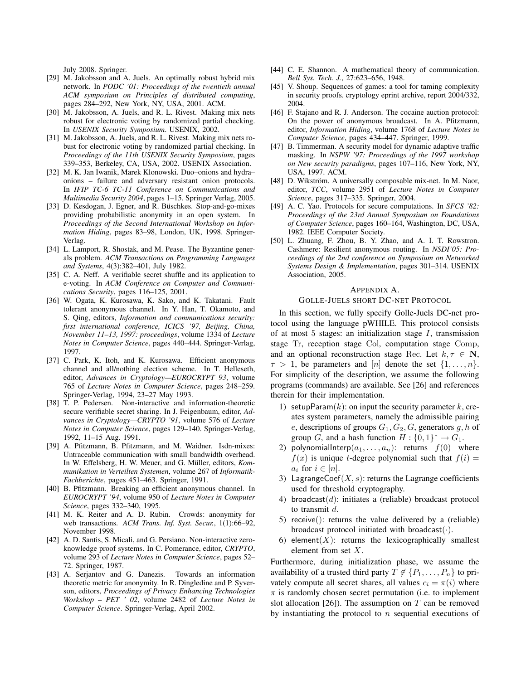July 2008. Springer.

- [29] M. Jakobsson and A. Juels. An optimally robust hybrid mix network. In *PODC '01: Proceedings of the twentieth annual ACM symposium on Principles of distributed computing*, pages 284–292, New York, NY, USA, 2001. ACM.
- [30] M. Jakobsson, A. Juels, and R. L. Rivest. Making mix nets robust for electronic voting by randomized partial checking. In *USENIX Security Symposium*. USENIX, 2002.
- [31] M. Jakobsson, A. Juels, and R. L. Rivest. Making mix nets robust for electronic voting by randomized partial checking. In *Proceedings of the 11th USENIX Security Symposium*, pages 339–353, Berkeley, CA, USA, 2002. USENIX Association.
- [32] M. K. Jan Iwanik, Marek Klonowski. Duo–onions and hydra– onions – failure and adversary resistant onion protocols. In *IFIP TC-6 TC-11 Conference on Communications and Multimedia Security 2004*, pages 1–15. Springer Verlag, 2005.
- [33] D. Kesdogan, J. Egner, and R. Büschkes. Stop-and-go-mixes providing probabilistic anonymity in an open system. In *Proceedings of the Second International Workshop on Information Hiding*, pages 83–98, London, UK, 1998. Springer-Verlag.
- [34] L. Lamport, R. Shostak, and M. Pease. The Byzantine generals problem. *ACM Transactions on Programming Languages and Systems*, 4(3):382–401, July 1982.
- [35] C. A. Neff. A verifiable secret shuffle and its application to e-voting. In *ACM Conference on Computer and Communications Security*, pages 116–125, 2001.
- [36] W. Ogata, K. Kurosawa, K. Sako, and K. Takatani. Fault tolerant anonymous channel. In Y. Han, T. Okamoto, and S. Qing, editors, *Information and communications security: first international conference, ICICS '97, Beijing, China, November 11–13, 1997: proceedings*, volume 1334 of *Lecture Notes in Computer Science*, pages 440–444. Springer-Verlag, 1997.
- [37] C. Park, K. Itoh, and K. Kurosawa. Efficient anonymous channel and all/nothing election scheme. In T. Helleseth, editor, *Advances in Cryptology—EUROCRYPT 93*, volume 765 of *Lecture Notes in Computer Science*, pages 248–259. Springer-Verlag, 1994, 23–27 May 1993.
- [38] T. P. Pedersen. Non-interactive and information-theoretic secure verifiable secret sharing. In J. Feigenbaum, editor, *Advances in Cryptology—CRYPTO '91*, volume 576 of *Lecture Notes in Computer Science*, pages 129–140. Springer-Verlag, 1992, 11–15 Aug. 1991.
- [39] A. Pfitzmann, B. Pfitzmann, and M. Waidner. Isdn-mixes: Untraceable communication with small bandwidth overhead. In W. Effelsberg, H. W. Meuer, and G. Müller, editors, *Kommunikation in Verteilten Systemen*, volume 267 of *Informatik-Fachberichte*, pages 451–463. Springer, 1991.
- [40] B. Pfitzmann. Breaking an efficient anonymous channel. In *EUROCRYPT '94*, volume 950 of *Lecture Notes in Computer Science*, pages 332–340, 1995.
- [41] M. K. Reiter and A. D. Rubin. Crowds: anonymity for web transactions. *ACM Trans. Inf. Syst. Secur.*, 1(1):66–92, November 1998.
- [42] A. D. Santis, S. Micali, and G. Persiano. Non-interactive zeroknowledge proof systems. In C. Pomerance, editor, *CRYPTO*, volume 293 of *Lecture Notes in Computer Science*, pages 52– 72. Springer, 1987.
- [43] A. Serjantov and G. Danezis. Towards an information theoretic metric for anonymity. In R. Dingledine and P. Syverson, editors, *Proceedings of Privacy Enhancing Technologies Workshop – PET ' 02*, volume 2482 of *Lecture Notes in Computer Science*. Springer-Verlag, April 2002.
- [44] C. E. Shannon. A mathematical theory of communication. *Bell Sys. Tech. J.*, 27:623–656, 1948.
- [45] V. Shoup. Sequences of games: a tool for taming complexity in security proofs. cryptology eprint archive, report 2004/332, 2004.
- [46] F. Stajano and R. J. Anderson. The cocaine auction protocol: On the power of anonymous broadcast. In A. Pfitzmann, editor, *Information Hiding*, volume 1768 of *Lecture Notes in Computer Science*, pages 434–447. Springer, 1999.
- [47] B. Timmerman. A security model for dynamic adaptive traffic masking. In *NSPW '97: Proceedings of the 1997 workshop on New security paradigms*, pages 107–116, New York, NY, USA, 1997. ACM.
- [48] D. Wikström. A universally composable mix-net. In M. Naor, editor, *TCC*, volume 2951 of *Lecture Notes in Computer Science*, pages 317–335. Springer, 2004.
- [49] A. C. Yao. Protocols for secure computations. In *SFCS '82: Proceedings of the 23rd Annual Symposium on Foundations of Computer Science*, pages 160–164, Washington, DC, USA, 1982. IEEE Computer Society.
- [50] L. Zhuang, F. Zhou, B. Y. Zhao, and A. I. T. Rowstron. Cashmere: Resilient anonymous routing. In *NSDI'05: Proceedings of the 2nd conference on Symposium on Networked Systems Design & Implementation*, pages 301–314. USENIX Association, 2005.

#### APPENDIX A.

## GOLLE-JUELS SHORT DC-NET PROTOCOL

In this section, we fully specify Golle-Juels DC-net protocol using the language pWHILE. This protocol consists of at most  $5$  stages: an initialization stage  $I$ , transmission stage Tr, reception stage Col, computation stage Comp, and an optional reconstruction stage Rec. Let  $k, \tau \in \mathbb{N}$ ,  $\tau > 1$ , be parameters and  $[n]$  denote the set  $\{1, \ldots, n\}$ . For simplicity of the description, we assume the following programs (commands) are available. See [26] and references therein for their implementation.

- 1) setupParam $(k)$ : on input the security parameter k, creates system parameters, namely the admissible pairing e, descriptions of groups  $G_1, G_2, G$ , generators g, h of group G, and a hash function  $H: \{0,1\}^* \to G_1$ .
- 2) polynomialInterp $(a_1, \ldots, a_n)$ : returns  $f(0)$  where  $f(x)$  is unique t-degree polynomial such that  $f(i) =$  $a_i$  for  $i \in [n]$ .
- 3) LagrangeCoef $(X, s)$ : returns the Lagrange coefficients used for threshold cryptography.
- 4) broadcast $(d)$ : initiates a (reliable) broadcast protocol to transmit d.
- 5) receive(): returns the value delivered by a (reliable) broadcast protocol initiated with broadcast $(\cdot)$ .
- 6) element $(X)$ : returns the lexicographically smallest element from set X.

Furthermore, during initialization phase, we assume the availability of a trusted third party  $T \notin \{P_1, \ldots, P_n\}$  to privately compute all secret shares, all values  $c_i = \pi(i)$  where  $\pi$  is randomly chosen secret permutation (i.e. to implement slot allocation [26]). The assumption on  $T$  can be removed by instantiating the protocol to  $n$  sequential executions of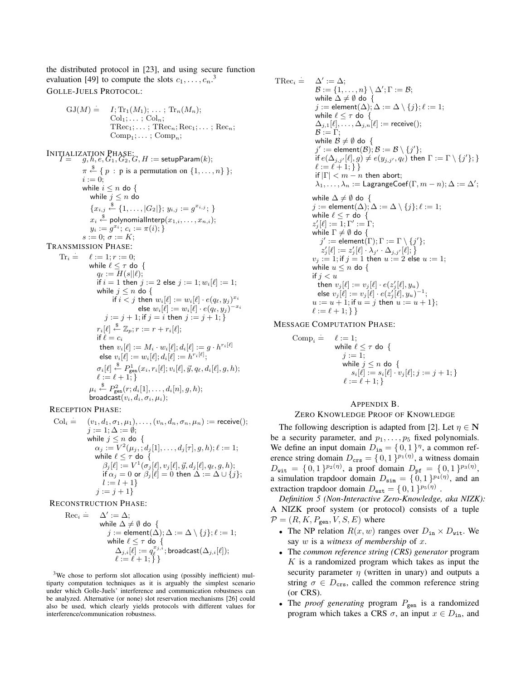the distributed protocol in [23], and using secure function evaluation [49] to compute the slots  $c_1, \ldots, c_n$ <sup>3</sup> GOLLE-JUELS PROTOCOL:

$$
GJ(M) = \n\begin{array}{ll}\nI; \text{Tr}_1(M_1); \ldots; \text{Tr}_n(M_n); \\
\text{Col}_1; \ldots; \text{Col}_n; \\
\text{Tree}_1; \ldots; \text{Tree}_n; \text{Rec}_1; \ldots; \text{Rec}_n; \\
\text{Comp}_1; \ldots; \text{Comp}_n;\n\end{array}
$$

 $\text{INITIALIZATION PHASE:}\ \ I = \ \ g,h,e,G_1,G_2,G,H := \mathsf{setupParam}(k);$  $\pi \stackrel{\$}{\leftarrow} \{p : p \text{ is a permutation on } \{1, \ldots, n\} \};$  $i := 0;$ while  $i \leq n$  do { while  $j \leq n$  do  ${x_{i,j}} \stackrel{\$}{\leftarrow} \{1,\ldots,|G_2|\}; y_{i,j} := g^{x_{i,j}};$  $x_i \stackrel{\$}{\leftarrow}$  polynomialInterp $(x_{1,i},\ldots,x_{n,i});$  $y_i := g^{x_i}; c_i := \pi(i);$  $s := 0; \sigma := K;$ TRANSMISSION PHASE:  $\text{Tr}_{i}$  =  $\ell := 1; r := 0;$ while  $\ell \leq \tau$  do {  $q_{\ell} := H(s||\ell);$ if  $i = 1$  then  $j := 2$  else  $j := 1; w_i[\ell] := 1;$ while  $j \leq n$  do { if  $i < j$  then  $w_i[\ell] := w_i[\ell] \cdot e(q_\ell, y_j)^{x_i}$ else  $w_i[\ell] := w_i[\ell] \cdot e(q_\ell, y_j)^{-x_i}$  $j := j + 1$ ; if  $j = i$  then  $j := j + 1$ ; }  $r_i[\ell] \stackrel{\$}{\leftarrow} \mathbb{Z}_p; r := r + r_i[\ell];$ if  $\ell = c_i$ then  $v_i[\ell] := M_i \cdot w_i[\ell]; d_i[\ell] := g \cdot h^{r_i[\ell]}$ else  $v_i[\ell] := w_i[\ell]; d_i[\ell] := h^{r_i[\ell]};$  $\sigma_i[\ell] \overset{\$}{\leftarrow} P_{\text{gen}}^1(x_i, r_i[\ell]; v_i[\ell], \vec{y}, q_\ell, d_i[\ell], g, h);$  $\ell := \ell + 1; \}$  $\mu_i \overset{\$}{\leftarrow} P_{\text{gen}}^2(r; d_i[1], \ldots, d_i[n], g, h);$ 

broadcast $(v_i, d_i, \sigma_i, \mu_i);$ 

## RECEPTION PHASE:

$$
\label{eq:col} \begin{array}{ll} \mathrm{Col}_i \doteq & (v_1,d_1,\sigma_1,\mu_1),\ldots,(v_n,d_n,\sigma_n,\mu_n) := \mathrm{receive}();\\ & j:=1;\Delta:=\emptyset;\\ & \text{while } j\leq n \text{ do }\{ \\ & \alpha_j:=V^2(\mu_j,:d_j[1],\ldots,d_j[\tau],g,h); \ell:=1;\\ & \text{while } \ell\leq \tau \text{ do }\{ \\ & \beta_j[\ell]:=V^1(\sigma_j[\ell],v_j[\ell],\vec{y},d_j[\ell],q_\ell,g,h);\\ & \text{if } \alpha_j=0 \text{ or } \beta_j[\ell]=0 \text{ then }\Delta:=\Delta\cup\{j\};\\ & l:=l+1\} \\ & j:=j+1 \} \end{array}
$$

RECONSTRUCTION PHASE:

$$
\begin{array}{rl} \mathrm{Rec}_i \doteq & \Delta' := \Delta;\\ & \text{while } \Delta \neq \emptyset \text{ do } \{ \\ & j := \mathsf{element}(\Delta); \Delta := \Delta \setminus \{j\}; \ell := 1;\\ & \text{while } \ell \leq \tau \text{ do } \{ \\ & \Delta_{j,i}[\ell] := q_\ell^{x_j,i}; \text{broadcast}(\Delta_{j,i}[\ell]);\\ & \ell := \ell+1; \} \end{array}
$$

<sup>3</sup>We chose to perform slot allocation using (possibly inefficient) multiparty computation techniques as it is arguably the simplest scenario under which Golle-Juels' interference and communication robustness can be analyzed. Alternative (or none) slot reservation mechanisms [26] could also be used, which clearly yields protocols with different values for interference/communication robustness.

$$
\begin{array}{ll} \mathbf{TRec}_i = & \Delta' := \Delta; \\ & \mathcal{B} := \{1, \ldots, n\} \setminus \Delta'; \Gamma := \mathcal{B}; \\ & \text{while } \Delta \neq \emptyset \text{ do } \{ \\ & j := \text{element}(\Delta); \Delta := \Delta \setminus \{j\}; \ell := 1; \\ & \text{while } \ell \leq \tau \text{ do } \{ \\ & \Delta_{j,1}[\ell], \ldots, \Delta_{j,n}[\ell] := \text{receive}(); \\ & \mathcal{B} := \Gamma; \\ & \text{while } \mathcal{B} \neq \emptyset \text{ do } \{ \\ & j' := \text{element}(\mathcal{B}); \mathcal{B} := \mathcal{B} \setminus \{j'\}; \\ & \text{if } e(\Delta_{j,j'}[\ell], g) \neq e(y_{j,j'}, q_\ell) \text{ then } \Gamma := \Gamma \setminus \{j'\}; \} \\ & \ell := \ell + 1; \} \\ & \text{if } |\Gamma| < m - n \text{ then abort}; \\ & \lambda_1, \ldots, \lambda_n := \text{LagrangeCoeff}(\Gamma, m - n); \Delta := \Delta'; \\ & \text{while } \Delta \neq \emptyset \text{ do } \{ \\ & j := \text{element}(\Delta); \Delta := \Delta \setminus \{j\}; \ell := 1; \\ & \text{while } \ell \leq \tau \text{ do } \{ \\ & j' := \text{element}(\Gamma); \Gamma := \Gamma \setminus \{j'\}; \\ & \mathcal{I}'_j[\ell] := \mathcal{I}'_j[\ell] \cdot \lambda_{j'} \cdot \Delta_{j,j'}[\ell]; \\ & v_j := 1; \text{if } j = 1 \text{ then } u := 2 \text{ else } u := 1; \\ & \text{while } u \leq n \text{ do } \{ \\ & \text{if } j < u \\ & \text{then } v_j[\ell] := v_j[\ell] \cdot e(z'_j[\ell], y_u) - 1; \\ & u := u + 1; \text{if } u = j \text{ then } u := u + 1; \\ & \ell := \ell + 1; \} \end{array}
$$

MESSAGE COMPUTATION PHASE:

$$
\begin{array}{ll}\n\text{Comp}_i = & \ell := 1; \\
& \text{while } \ell \leq \tau \text{ do } \{ \\
& j := 1; \\
& \text{while } j \leq n \text{ do } \{ \\
& s_i[\ell] := s_i[\ell] \cdot v_j[\ell]; j := j + 1; \} \\
& \ell := \ell + 1; \n\end{array}
$$

## APPENDIX B.

## ZERO KNOWLEDGE PROOF OF KNOWLEDGE

The following description is adapted from [2]. Let  $\eta \in \mathbb{N}$ be a security parameter, and  $p_1, \ldots, p_5$  fixed polynomials. We define an input domain  $D_{in} = \{0, 1\}^{\eta}$ , a common reference string domain  $D_{\text{crs}} = \{0, 1\}^{p_1(\eta)}$ , a witness domain  $D_{\text{wit}} = \{0, 1\}^{p_2(\eta)}$ , a proof domain  $D_{\text{pf}} = \{0, 1\}^{p_3(\eta)}$ , a simulation trapdoor domain  $D_{\text{sim}} = \{0, 1\}^{p_4(\eta)}$ , and an extraction trapdoor domain  $D_{ext} = \{0, 1\}^{p_5(\eta)}$ .

*Definition 5 (Non-Interactive Zero-Knowledge, aka NIZK):* A NIZK proof system (or protocol) consists of a tuple  $\mathcal{P} = (R, K, P_{\text{gen}}, V, S, E)$  where

- The NP relation  $R(x, w)$  ranges over  $D_{\text{in}} \times D_{\text{wit}}$ . We say w is a *witness of membership* of x.
- The *common reference string (CRS) generator* program  $K$  is a randomized program which takes as input the security parameter  $\eta$  (written in unary) and outputs a string  $\sigma \in D_{\text{crs}}$ , called the common reference string (or CRS).
- The *proof generating* program  $P_{\text{gen}}$  is a randomized program which takes a CRS  $\sigma$ , an input  $x \in D_{\text{in}}$ , and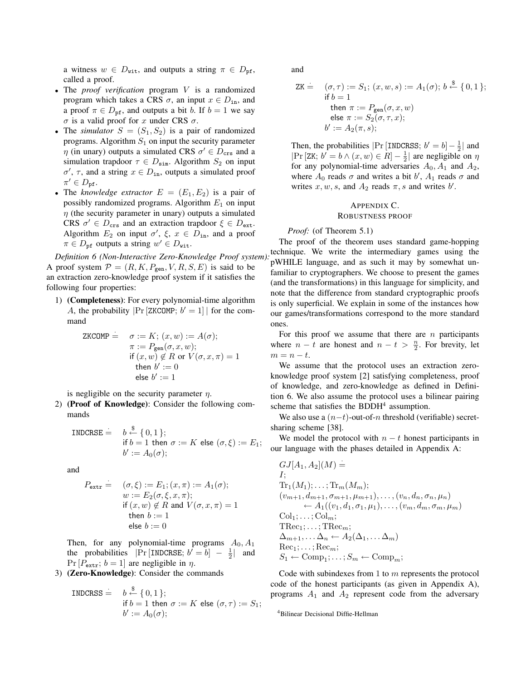a witness  $w \in D_{\text{wit}}$ , and outputs a string  $\pi \in D_{\text{pf}}$ , called a proof.

- The *proof verification* program V is a randomized program which takes a CRS  $\sigma$ , an input  $x \in D_{\text{in}}$ , and a proof  $\pi \in D_{\text{pf}}$ , and outputs a bit b. If  $b = 1$  we say σ is a valid proof for x under CRS  $\sigma$ .
- The *simulator*  $S = (S_1, S_2)$  is a pair of randomized programs. Algorithm  $S_1$  on input the security parameter  $\eta$  (in unary) outputs a simulated CRS  $\sigma' \in D_{\text{crs}}$  and a simulation trapdoor  $\tau \in D_{\text{sim}}$ . Algorithm  $S_2$  on input  $\sigma'$ ,  $\tau$ , and a string  $x \in D_{\text{in}}$ , outputs a simulated proof  $\pi' \in D_{\mathbf{pf}}.$
- The *knowledge extractor*  $E = (E_1, E_2)$  is a pair of possibly randomized programs. Algorithm  $E_1$  on input  $\eta$  (the security parameter in unary) outputs a simulated CRS  $\sigma' \in D_{\text{crs}}$  and an extraction trapdoor  $\xi \in D_{\text{ext}}$ . Algorithm  $E_2$  on input  $\sigma'$ ,  $\xi$ ,  $x \in D_{\text{in}}$ , and a proof  $\pi \in D_{\text{pf}}$  outputs a string  $w' \in D_{\text{wit}}$ .

A proof system  $\mathcal{P} = (R, K, P_{\text{gen}}, V, R, S, E)$  is said to be an extraction zero-knowledge proof system if it satisfies the following four properties:

1) (Completeness): For every polynomial-time algorithm A, the probability  $|\Pr[\text{ZKCOMP}; b' = 1]|$  for the command

$$
\begin{array}{ll}\texttt{ZKCOMP}=&\sigma:=K;\,(x,w):=A(\sigma);\\ &\pi:=P_{\text{gen}}(\sigma,x,w);\\ &\text{if }(x,w)\not\in R\text{ or }V(\sigma,x,\pi)=1\\ &\text{then }b':=0\\ &\text{else }b':=1\end{array}
$$

is negligible on the security parameter  $\eta$ .

2) (Proof of Knowledge): Consider the following commands

$$
\begin{array}{ll}\texttt{INDCRE} = & b \stackrel{\$} \leftarrow \{0, 1\};\\ \text{if } b = 1 \text{ then } \sigma := K \text{ else } (\sigma, \xi) := E_1;\\ b' := A_0(\sigma); \end{array}
$$

and

$$
P_{\text{extr}} = \n\begin{array}{ll}\n(\sigma, \xi) := E_1; (x, \pi) := A_1(\sigma); \\
w := E_2(\sigma, \xi, x, \pi); \\
\text{if } (x, w) \notin R \text{ and } V(\sigma, x, \pi) = 1 \\
\text{then } b := 1 \\
\text{else } b := 0\n\end{array}
$$

Then, for any polynomial-time programs  $A_0$ ,  $A_1$ the probabilities  $|\Pr[\text{INDCRE}; b' = b] - \frac{1}{2}|$  and  $Pr[P<sub>extr</sub>; b = 1]$  are negligible in  $\eta$ .

3) (Zero-Knowledge): Consider the commands

**INDCRSS** = 
$$
b \stackrel{\$}{\leftarrow} \{0, 1\};
$$
  
if  $b = 1$  then  $\sigma := K$  else  $(\sigma, \tau) := S_1;$   
 $b' := A_0(\sigma);$ 

and

$$
ZK = (\sigma, \tau) := S_1; (x, w, s) := A_1(\sigma); b \stackrel{\$}{\leftarrow} \{0, 1\};
$$
  
if  $b = 1$   
then  $\pi := P_{\text{gen}}(\sigma, x, w)$   
else  $\pi := S_2(\sigma, \tau, x);$   
 $b' := A_2(\pi, s);$ 

Then, the probabilities  $|\Pr[\text{INDCRSS}; b' = b] - \frac{1}{2}|$  and  $|\Pr[\text{ZK}; b' = b \land (x, w) \in R] - \frac{1}{2}|$  are negligible on  $\eta$ for any polynomial-time adversaries  $A_0$ ,  $A_1$  and  $A_2$ , where  $A_0$  reads  $\sigma$  and writes a bit b',  $A_1$  reads  $\sigma$  and writes  $x, w, s$ , and  $A_2$  reads  $\pi, s$  and writes  $b'$ .

## APPENDIX C. ROBUSTNESS PROOF

#### *Proof:* (of Theorem 5.1)

*Definition 6 (Non-Interactive Zero-Knowledge Proof system):* technique. We write the intermediary games using the The proof of the theorem uses standard game-hopping pWHILE language, and as such it may by somewhat unfamiliar to cryptographers. We choose to present the games (and the transformations) in this language for simplicity, and note that the difference from standard cryptographic proofs is only superficial. We explain in some of the instances how our games/transformations correspond to the more standard ones.

> For this proof we assume that there are  $n$  participants where  $n - t$  are honest and  $n - t > \frac{n}{2}$ . For brevity, let  $m = n - t$ .

> We assume that the protocol uses an extraction zeroknowledge proof system [2] satisfying completeness, proof of knowledge, and zero-knowledge as defined in Definition 6. We also assume the protocol uses a bilinear pairing scheme that satisfies the BDDH<sup>4</sup> assumption.

> We also use a  $(n-t)$ -out-of-n threshold (verifiable) secretsharing scheme [38].

> We model the protocol with  $n - t$  honest participants in our language with the phases detailed in Appendix A:

$$
GJ[A_1, A_2](M) =
$$
  
\n
$$
I;
$$
  
\n
$$
Tr_1(M_1); \dots; Tr_m(M_m);
$$
  
\n
$$
(v_{m+1}, d_{m+1}, \sigma_{m+1}, \mu_{m+1}), \dots, (v_n, d_n, \sigma_n, \mu_n)
$$
  
\n
$$
\leftarrow A_1((v_1, d_1, \sigma_1, \mu_1), \dots, (v_m, d_m, \sigma_m, \mu_m)
$$
  
\n
$$
Col_1; \dots; Col_m;
$$
  
\n
$$
TRec_1; \dots; TRec_m;
$$
  
\n
$$
\Delta_{m+1}, \dots \Delta_n \leftarrow A_2(\Delta_1, \dots \Delta_m)
$$
  
\n
$$
Rec_1; \dots; Rec_m;
$$
  
\n
$$
S_1 \leftarrow Comp_1; \dots; S_m \leftarrow Comp_m;
$$

Code with subindexes from 1 to m represents the protocol code of the honest participants (as given in Appendix A), programs  $A_1$  and  $A_2$  represent code from the adversary

<sup>4</sup>Bilinear Decisional Diffie-Hellman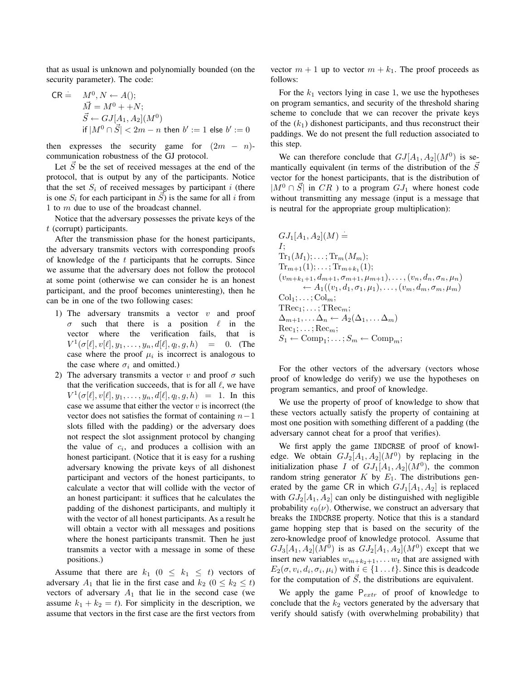that as usual is unknown and polynomially bounded (on the security parameter). The code:

$$
\begin{aligned} \mathsf{CR} & \doteq & M^0, N \leftarrow A(); \\ \vec{M} & = M^0 + +N; \\ \vec{S} & \leftarrow GJ[A_1, A_2](M^0) \\ \text{if } |M^0 \cap \vec{S}| < 2m - n \text{ then } b' := 1 \text{ else } b' := 0 \end{aligned}
$$

then expresses the security game for  $(2m - n)$ communication robustness of the GJ protocol.

Let  $\vec{S}$  be the set of received messages at the end of the protocol, that is output by any of the participants. Notice that the set  $S_i$  of received messages by participant i (there is one  $S_i$  for each participant in  $\vec{S}$ ) is the same for all i from 1 to m due to use of the broadcast channel.

Notice that the adversary possesses the private keys of the t (corrupt) participants.

After the transmission phase for the honest participants, the adversary transmits vectors with corresponding proofs of knowledge of the  $t$  participants that he corrupts. Since we assume that the adversary does not follow the protocol at some point (otherwise we can consider he is an honest participant, and the proof becomes uninteresting), then he can be in one of the two following cases:

- 1) The adversary transmits a vector  $v$  and proof  $\sigma$  such that there is a position  $\ell$  in the vector where the verification fails, that is  $V^1(\sigma[\ell], v[\ell], y_1, \ldots, y_n, d[\ell], q_l$  $= 0.$  (The case where the proof  $\mu_i$  is incorrect is analogous to the case where  $\sigma_i$  and omitted.)
- 2) The adversary transmits a vector v and proof  $\sigma$  such that the verification succeeds, that is for all  $\ell$ , we have  $V^1(\sigma[\ell], v[\ell], y_1, \ldots, y_n, d[\ell], q_l, g, h) = 1$ . In this case we assume that either the vector  $v$  is incorrect (the vector does not satisfies the format of containing  $n-1$ slots filled with the padding) or the adversary does not respect the slot assignment protocol by changing the value of  $c_i$ , and produces a collision with an honest participant. (Notice that it is easy for a rushing adversary knowing the private keys of all dishonest participant and vectors of the honest participants, to calculate a vector that will collide with the vector of an honest participant: it suffices that he calculates the padding of the dishonest participants, and multiply it with the vector of all honest participants. As a result he will obtain a vector with all messages and positions where the honest participants transmit. Then he just transmits a vector with a message in some of these positions.)

Assume that there are  $k_1$  ( $0 \leq k_1 \leq t$ ) vectors of adversary  $A_1$  that lie in the first case and  $k_2$  ( $0 \leq k_2 \leq t$ ) vectors of adversary  $A_1$  that lie in the second case (we assume  $k_1 + k_2 = t$ ). For simplicity in the description, we assume that vectors in the first case are the first vectors from vector  $m + 1$  up to vector  $m + k<sub>1</sub>$ . The proof proceeds as follows:

For the  $k_1$  vectors lying in case 1, we use the hypotheses on program semantics, and security of the threshold sharing scheme to conclude that we can recover the private keys of the  $(k_1)$  dishonest participants, and thus reconstruct their paddings. We do not present the full reduction associated to this step.

We can therefore conclude that  $GJ[A_1, A_2](M^0)$  is semantically equivalent (in terms of the distribution of the  $\vec{S}$ vector for the honest participants, that is the distribution of  $|M^0 \cap \vec{S}|$  in  $CR$ ) to a program  $GJ_1$  where honest code without transmitting any message (input is a message that is neutral for the appropriate group multiplication):

$$
GJ_1[A_1, A_2](M) =
$$
  
\n
$$
I;
$$
  
\n
$$
Tr_1(M_1); \ldots; Tr_m(M_m);
$$
  
\n
$$
Tr_{m+1}(1); \ldots; Tr_{m+k_1}(1);
$$
  
\n
$$
(v_{m+k_1+1}, d_{m+1}, \sigma_{m+1}, \mu_{m+1}), \ldots, (v_n, d_n, \sigma_n, \mu_n)
$$
  
\n
$$
\leftarrow A_1((v_1, d_1, \sigma_1, \mu_1), \ldots, (v_m, d_m, \sigma_m, \mu_m))
$$
  
\n
$$
Col_1; \ldots; Col_m;
$$
  
\n
$$
TRec_1; \ldots; TRec_m;
$$
  
\n
$$
\Delta_{m+1}, \ldots \Delta_n \leftarrow A_2(\Delta_1, \ldots \Delta_m)
$$
  
\n
$$
Rec_1; \ldots; Rec_m;
$$
  
\n
$$
S_1 \leftarrow Comp_1; \ldots; S_m \leftarrow Comp_m;
$$

For the other vectors of the adversary (vectors whose proof of knowledge do verify) we use the hypotheses on program semantics, and proof of knowledge.

We use the property of proof of knowledge to show that these vectors actually satisfy the property of containing at most one position with something different of a padding (the adversary cannot cheat for a proof that verifies).

We first apply the game INDCRSE of proof of knowledge. We obtain  $GJ_2[A_1, A_2](M^0)$  by replacing in the initialization phase I of  $GJ_1[A_1, A_2](M^0)$ , the common random string generator  $K$  by  $E_1$ . The distributions generated by the game CR in which  $GJ_1[A_1, A_2]$  is replaced with  $GJ_2[A_1, A_2]$  can only be distinguished with negligible probability  $\epsilon_0(\nu)$ . Otherwise, we construct an adversary that breaks the INDCRSE property. Notice that this is a standard game hopping step that is based on the security of the zero-knowledge proof of knowledge protocol. Assume that  $GJ_3[A_1, A_2](M^0)$  is as  $GJ_2[A_1, A_2](M^0)$  except that we insert new variables  $w_{m+k_2+1}, \ldots w_t$  that are assigned with  $E_2(\sigma, v_i, d_i, \sigma_i, \mu_i)$  with  $i \in \{1 \dots t\}$ . Since this is deadcode for the computation of  $\vec{S}$ , the distributions are equivalent.

We apply the game  $P_{extr}$  of proof of knowledge to conclude that the  $k_2$  vectors generated by the adversary that verify should satisfy (with overwhelming probability) that